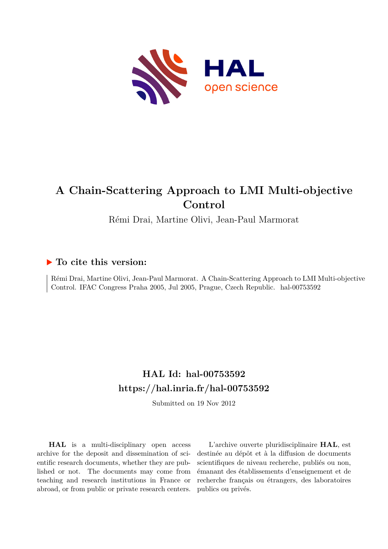

# **A Chain-Scattering Approach to LMI Multi-objective Control**

Rémi Drai, Martine Olivi, Jean-Paul Marmorat

## **To cite this version:**

Rémi Drai, Martine Olivi, Jean-Paul Marmorat. A Chain-Scattering Approach to LMI Multi-objective Control. IFAC Congress Praha 2005, Jul 2005, Prague, Czech Republic. hal-00753592

## **HAL Id: hal-00753592 <https://hal.inria.fr/hal-00753592>**

Submitted on 19 Nov 2012

**HAL** is a multi-disciplinary open access archive for the deposit and dissemination of scientific research documents, whether they are published or not. The documents may come from teaching and research institutions in France or abroad, or from public or private research centers.

L'archive ouverte pluridisciplinaire **HAL**, est destinée au dépôt et à la diffusion de documents scientifiques de niveau recherche, publiés ou non, émanant des établissements d'enseignement et de recherche français ou étrangers, des laboratoires publics ou privés.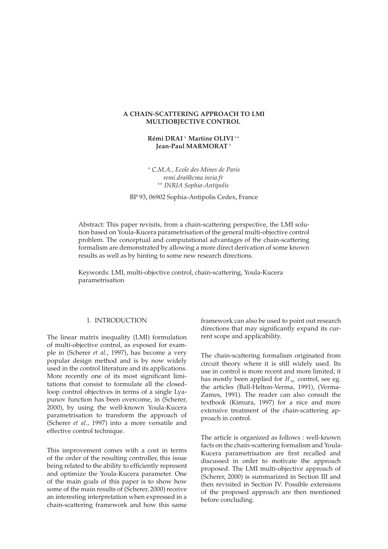## **A CHAIN-SCATTERING APPROACH TO LMI MULTIOBJECTIVE CONTROL**

## **Rémi DRAI** \* Martine OLIVI \*\* **Jean-Paul MARMORAT**

 *C.M.A., Ecole des Mines de Paris remi.drai@cma.inria.fr INRIA Sophia-Antipolis*

BP 93, 06902 Sophia-Antipolis Cedex, France

Abstract: This paper revisits, from a chain-scattering perspective, the LMI solution based on Youla-Kucera parametrisation of the general multi-objective control problem. The conceptual and computational advantages of the chain-scattering formalism are demonstrated by allowing a more direct derivation of some known results as well as by hinting to some new research directions.

Keywords: LMI, multi-objective control, chain-scattering, Youla-Kucera parametrisation

## 1. INTRODUCTION

The linear matrix inequality (LMI) formulation of multi-objective control, as exposed for example in (Scherer *et al.*, 1997), has become a very popular design method and is by now widely used in the control literature and its applications. More recently one of its most significant limitations that consist to formulate all the closedloop control objectives in terms of a single Lyapunov function has been overcome, in (Scherer, 2000), by using the well-known Youla-Kucera parametrisation to transform the approach of (Scherer *et al.*, 1997) into a more versatile and effective control technique.

This improvement comes with a cost in terms of the order of the resulting controller, this issue being related to the ability to efficiently represent and optimize the Youla-Kucera parameter. One of the main goals of this paper is to show how some of the main results of (Scherer, 2000) receive an interesting interpretation when expressed in a chain-scattering framework and how this same

framework can also be used to point out research directions that may significantly expand its current scope and applicability.

The chain-scattering formalism originated from circuit theory where it is still widely used. Its use in control is more recent and more limited; it has mostly been applied for  $H_{\infty}$  control, see eg. the articles (Ball-Helton-Verma, 1991), (Verma-Zames, 1991). The reader can also consult the textbook (Kimura, 1997) for a nice and more extensive treatment of the chain-scattering approach in control.

The article is organized as follows : well-known facts on the chain-scattering formalism and Youla-Kucera parametrisation are first recalled and discussed in order to motivate the approach proposed. The LMI multi-objective approach of (Scherer, 2000) is summarized in Section III and then revisited in Section IV. Possible extensions of the proposed approach are then mentioned before concluding.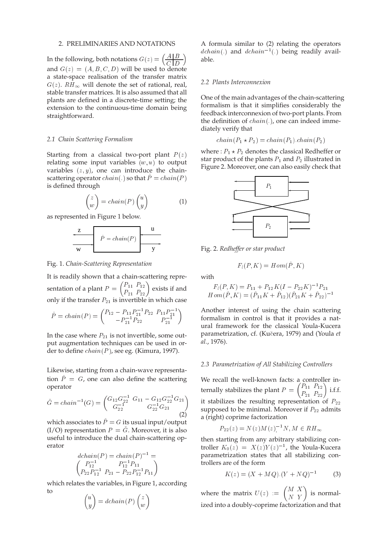#### 2. PRELIMINARIES AND NOTATIONS

In the following, both notations  $G(z) = \left(\frac{A|B}{C|D}\right)$  $C$   $D$  $\sim$ and  $G(z) = (A, B, C, D)$  will be used to denote a state-space realisation of the transfer matrix  $G(z)$ .  $RH_{\infty}$  will denote the set of rational, real, stable transfer matrices. It is also assumed that all plants are defined in a discrete-time setting; the extension to the continuous-time domain being straightforward.

#### *2.1 Chain Scattering Formalism*

Starting from a classical two-port plant  $P(z)$ relating some input variables  $(w, u)$  to output variables  $(z, y)$ , one can introduce the chainscattering operator  $chain(.)$  so that  $P = chain(P)$ is defined through

$$
\begin{pmatrix} z \\ w \end{pmatrix} = chain(P) \begin{pmatrix} u \\ y \end{pmatrix} \tag{1}
$$

as represented in Figure 1 below.

| Z            | $\hat{P} = chain(P)$ | u            |
|--------------|----------------------|--------------|
| $\mathbf{w}$ | $\hat{P} = chain(P)$ | $\mathbf{y}$ |

#### Fig. 1. *Chain-Scattering Representation*

It is readily shown that a chain-scattering representation of a plant  $P = \begin{pmatrix} P_{11} & P_{12} \ P_{21} & P_{22} \end{pmatrix}$  exists if and only if the transfer  $P_{21}$  is invertible in which case

$$
\hat{P} = chain(P) = \begin{pmatrix} P_{12} - P_{11}P_{21}^{-1}P_{22} & P_{11}P_{21}^{-1} \\ -P_{21}^{-1}P_{22} & P_{21}^{-1} \end{pmatrix}
$$

In the case where  $P_{21}$  is not invertible, some output augmentation techniques can be used in order to define  $chain(P)$ , see eg. (Kimura, 1997).

Likewise, starting from a chain-wave representation  $\hat{P} = G$ , one can also define the scattering operator

$$
\check{G} = chain^{-1}(G) = \begin{pmatrix} G_{12}G_{22}^{-1} & G_{11} - G_{12}G_{22}^{-1}G_{21} \\ G_{22}^{-1} & G_{22}^{-1}G_{21} \end{pmatrix} \tag{2}
$$

which associates to  $\hat{P} = G$  its usual input/output  $(I/O)$  representation  $P = G$ . Moreover, it is also useful to introduce the dual chain-scattering operator

$$
dchain(P) = chain(P)^{-1} =
$$
  
\n
$$
\begin{pmatrix} P_{12}^{-1} & P_{12}^{-1}P_{11} \\ P_{22}P_{12}^{-1} & P_{21} - P_{22}P_{12}^{-1}P_{11} \end{pmatrix}
$$

which relates the variables, in Figure 1, according to  $\overline{\phantom{a}}$  $\sim$  $\overline{\phantom{a}}$  $\sim$ 

$$
\begin{pmatrix} u \\ y \end{pmatrix} = dchain(P) \begin{pmatrix} z \\ w \end{pmatrix}
$$

A formula similar to (2) relating the operators  $dchain(.)$  and  $dchain^{-1}(.)$  being readily available.

### *2.2 Plants Interconnexion*

One of the main advantages of the chain-scattering formalism is that it simplifies considerably the feedback interconnexion of two-port plants. From the definition of  $chain(.)$ , one can indeed immediately verify that

$$
chain(P_1 \star P_2) = chain(P_1).chain(P_2)
$$

where :  $P_1 \star P_2$  denotes the classical Redheffer or star product of the plants  $P_1$  and  $P_2$  illustrated in Figure 2. Moreover, one can also easily check that



Fig. 2. *Redheffer or star product*

$$
F_l(P, K) = Hom(\hat{P}, K)
$$

with

$$
F_l(P, K) = P_{11} + P_{12}K(I - P_{22}K)^{-1}P_{21}
$$
  
 
$$
Hom(\hat{P}, K) = (\hat{P}_{11}K + \hat{P}_{12})(\hat{P}_{21}K + \hat{P}_{22})^{-1}
$$

Another interest of using the chain scattering formalism in control is that it provides a natural framework for the classical Youla-Kucera parametrization, cf. (Ku era, 1979) and (Youla *et al.*, 1976).

#### *2.3 Parametrization of All Stabilizing Controllers*

We recall the well-known facts: a controller internally stabilizes the plant  $P=\begin{pmatrix} P_{11} & P_{12} \ P_{21} & P_{22} \end{pmatrix}$  i.f.f. it stabilizes the resulting representation of  $P_{22}$ supposed to be minimal. Moreover if  $P_{22}$  admits a (right) coprime factorization

$$
P_{22}(z) = N(z)M(z)^{-1}N, M \in RH_{\infty}
$$

then starting from any arbitrary stabilizing controller  $K_0(z) = X(z)Y(z)^{-1}$ , the Youla-Kucera parametrization states that all stabilizing controllers are of the form

$$
K(z) = (X + MQ) \cdot (Y + NQ)^{-1}
$$
 (3)

where the matrix  $U(z) := \begin{pmatrix} M & X \\ N & V \end{pmatrix}$ N Y is normalized into a doubly-coprime factorization and that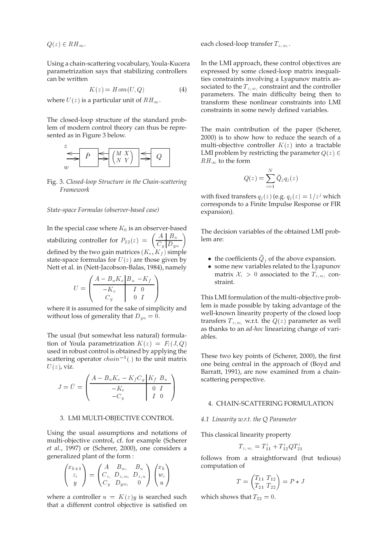$Q(z) \in RH_{\infty}$ .

Using a chain-scattering vocabulary, Youla-Kucera parametrization says that stabilizing controllers can be written

$$
K(z) = Hom(U, Q) \tag{4}
$$

where  $U(z)$  is a particular unit of  $RH_{\infty}$ .

The closed-loop structure of the standard problem of modern control theory can thus be represented as in Figure 3 below.



Fig. 3. *Closed-loop Structure in the Chain-scattering Framework*

#### *State-space Formulas (observer-based case)*

In the special case where  $K_0$  is an observer-based stabilizing controller for  $P_{22}(z) = \left(\frac{A \mid B_u}{C_u \mid D_{uu}}\right)$ defined by the two gain matrices  $(K_c, K_f)$  simple state-space formulas for  $U(z)$  are those given by Nett et al. in (Nett-Jacobson-Balas, 1984), namely

$$
U = \begin{pmatrix} A - B_u K_c & B_u & -K_f \\ \hline -K_c & I & 0 \\ C_y & 0 & I \end{pmatrix}
$$

where it is assumed for the sake of simplicity and without loss of generality that  $D_{yu} = 0$ .

The usual (but somewhat less natural) formulation of Youla parametrization  $K(z) = F<sub>l</sub>(J, Q)$ used in robust control is obtained by applying the scattering operator  $chain^{-1}(.)$  to the unit matrix  $U(z)$ , viz.

$$
J = \check{U} = \begin{pmatrix} \frac{A - B_u K_c - K_f C_y}{K_f B_u} & \frac{B_u}{K_f B_u} \\ -K_c & 0 & I \\ -C_y & I & 0 \end{pmatrix}
$$

#### 3. LMI MULTI-OBJECTIVE CONTROL

Using the usual assumptions and notations of multi-objective control, cf. for example (Scherer *et al.*, 1997) or (Scherer, 2000), one considers a generalized plant of the form :

$$
\begin{pmatrix} x_{k+1} \\ z_i \\ y \end{pmatrix} = \begin{pmatrix} A & B_{w_i} & B_u \\ C_{z_i} & D_{z_i w_i} & D_{z_i u} \\ C_y & D_{y w_i} & 0 \end{pmatrix} \begin{pmatrix} x_k \\ w_i \\ u \end{pmatrix}
$$

where a controller  $u = K(z)y$  is searched such that a different control objective is satisfied on

each closed-loop transfer  $T_{z_iw_i}$ .

In the LMI approach, these control objectives are expressed by some closed-loop matrix inequalities constraints involving a Lyapunov matrix associated to the  $T_{z_iw_i}$  constraint and the controller parameters. The main difficulty being then to transform these nonlinear constraints into LMI constraints in some newly defined variables.

The main contribution of the paper (Scherer, 2000) is to show how to reduce the search of a multi-objective controller  $K(z)$  into a tractable LMI problem by restricting the parameter  $Q(z) \in$  $RH_{\infty}$  to the form

$$
Q(z) = \sum_{i=1}^{N} \bar{Q}_j q_j(z)
$$

with fixed transfers  $q_i(z)$  (e.g.  $q_j(z) = 1/z^j$  which corresponds to a Finite Impulse Response or FIR expansion).

The decision variables of the obtained LMI problem are:

- the coefficients  $Q_j$  of the above expansion.
- some new variables related to the Lyapunov matrix  $\mathcal{X}_i > 0$  associated to the  $T_{z_i w_i}$  constraint.

This LMI formulation of the multi-objective problem is made possible by taking advantage of the well-known linearity property of the closed loop transfers  $T_{z_iw_i}$  w.r.t. the  $Q(z)$  parameter as well as thanks to an *ad-hoc* linearizing change of variables.

These two key points of (Scherer, 2000), the first one being central in the approach of (Boyd and Barratt, 1991), are now examined from a chainscattering perspective.

### 4. CHAIN-SCATTERING FORMULATION

#### *4.1 Linearity w.r.t. the Q Parameter*

This classical linearity property

$$
T_{z_i w_i} = T_{11}^i + T_{12}^i Q T_{21}^i
$$

follows from a straightforward (but tedious) computation of

$$
T = \begin{pmatrix} T_{11} & T_{12} \\ T_{21} & T_{22} \end{pmatrix} = P \star J
$$

which shows that  $T_{22} = 0$ .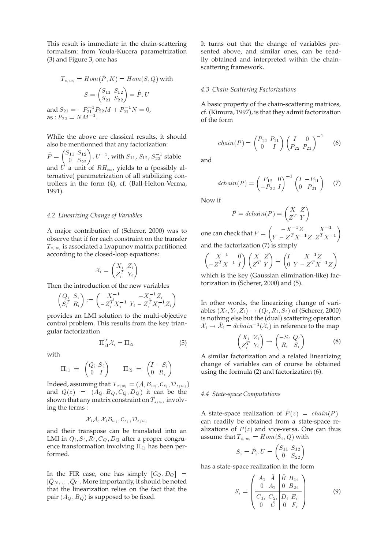This result is immediate in the chain-scattering formalism: from Youla-Kucera parametrization (3) and Figure 3, one has

$$
T_{z_i w_i} = Hom(\hat{P}, K) = Hom(S, Q) \text{ with}
$$

$$
S = \begin{pmatrix} S_{11} & S_{12} \\ S_{21} & S_{22} \end{pmatrix} = \hat{P} \cdot U
$$
and 
$$
S_{21} = -P_{21}^{-1} P_{22} M + P_{21}^{-1} N = 0,
$$
as : 
$$
P_{22} = N M^{-1}.
$$

While the above are classical results, it should also be mentionned that any factorization:

 $\hat{P} = \begin{pmatrix} S_{11} \;\; S_{12} \ 0 \;\; S_{22} \end{pmatrix}$  .  $U^{-1}$ , with  $S_{11}$ ,  $S_{12}$ ,  $S^{-1}_{22}$  stable and U a unit of  $RH_{\infty}$ , yields to a (possibly alternative) parametrization of all stabilizing controllers in the form (4), cf. (Ball-Helton-Verma, 1991).

#### *4.2 Linearizing Change of Variables*

A major contribution of (Scherer, 2000) was to observe that if for each constraint on the transfer  $T_{z_iw_i}$  is associated a Lyapunov matrix partitioned according to the closed-loop equations:

$$
\mathcal{X}_i = \begin{pmatrix} X_i & Z_i \\ Z_i^T & Y_i \end{pmatrix}
$$

Then the introduction of the new variables

$$
\begin{pmatrix} Q_i & S_i \\ S_i^T & R_i \end{pmatrix} := \begin{pmatrix} X_i^{-1} & -X_i^{-1}Z_i \\ -Z_i^T X_i^{-1} & Y_i - Z_i^T X_i^{-1} Z_i \end{pmatrix}
$$

provides an LMI solution to the multi-objective control problem. This results from the key triangular factorization

$$
\Pi_{i1}^T \mathcal{X}_i = \Pi_{i2} \tag{5}
$$

with

$$
\Pi_{i1} = \begin{pmatrix} Q_i & S_i \\ 0 & I \end{pmatrix} \qquad \Pi_{i2} = \begin{pmatrix} I & -S_i \\ 0 & R_i \end{pmatrix}
$$

Indeed, assuming that:  $T_{z_i w_i} = (\mathcal{A}, \mathcal{B}_{w_i}, \mathcal{C}_{z_i}, {\mathcal{D}}_{z_i w_i})$ and  $Q(z) = (A_Q, B_Q, C_Q, D_Q)$  it can be the shown that any matrix constraint on  $T_{z_iw_i}$  involving the terms :

$$
\mathcal{X}_i \mathcal{A}, \mathcal{X}_i {\mathcal{B}}_{w_i}, {\mathcal{C}}_{z_i}, {\mathcal{D}}_{z_i w_i}
$$

and their transpose can be translated into an LMI in  $Q_i$ ,  $S_i$ ,  $R_i$ ,  $C_Q$ ,  $D_Q$  after a proper congruence transformation involving  $\Pi_{i1}$  has been performed.

In the FIR case, one has simply  $[C_Q, D_Q] =$  $[Q_N,...,Q_0]$  . More importantly, it should be noted that the linearization relies on the fact that the pair  $(A_O, B_O)$  is supposed to be fixed.

It turns out that the change of variables presented above, and similar ones, can be readily obtained and interpreted within the chainscattering framework.

#### *4.3 Chain-Scattering Factorizations*

A basic property of the chain-scattering matrices, cf. (Kimura, 1997), is that they admit factorization of the form

$$
chain(P) = \begin{pmatrix} P_{12} & P_{11} \\ 0 & I \end{pmatrix} \begin{pmatrix} I & 0 \\ P_{22} & P_{21} \end{pmatrix}^{-1}
$$
 (6)

and

$$
dchain(P) = \begin{pmatrix} P_{12} & 0 \ -P_{22} & I \end{pmatrix}^{-1} \begin{pmatrix} I & -P_{11} \ 0 & P_{21} \end{pmatrix} \tag{7}
$$

Now if

$$
\hat{P} = dchain(P) = \begin{pmatrix} X & Z \\ Z^T & Y \end{pmatrix}
$$

one can check that  $P = \begin{pmatrix} -X^{-1}Z & X^{-1} \\ V & 2TV^{-1}Z & Z^T V^{-1} \end{pmatrix}$  $Y - Z^I X^{-1} Z Z^{I} X^{-1}$  and the factorization (7) is simply

$$
\begin{pmatrix} X^{-1} & 0 \ -Z^T X^{-1} & I \end{pmatrix} \begin{pmatrix} X & Z \ Z^T & Y \end{pmatrix} = \begin{pmatrix} I & X^{-1}Z \ 0 & Y - Z^T X^{-1}Z \end{pmatrix}
$$

which is the key (Gaussian elimination-like) factorization in (Scherer, 2000) and (5).

In other words, the linearizing change of variables  $(X_i, Y_i, Z_i) \rightarrow (Q_i, R_i, S_i)$  of (Scherer, 2000) is nothing else but the (dual) scattering operation  $\mathcal{X}_i \rightarrow \mathcal{X}_i = dchain^{-1}(\mathcal{X}_i)$  in reference to the map

$$
\begin{pmatrix} X_i & Z_i \\ Z_i^T & Y_i \end{pmatrix} \rightarrow \begin{pmatrix} -S_i & Q_i \\ R_i & S_i \end{pmatrix}
$$
 (8)

A similar factorization and a related linearizing change of variables can of course be obtained using the formula (2) and factorization (6).

#### *4.4 State-space Computations*

A state-space realization of  $\hat{P}(z) = chain(P)$ can readily be obtained from a state-space realizations of  $P(z)$  and vice-versa. One can thus assume that  $T_{z_iw_i} = Hom(S_i, Q)$  with

$$
S_i = \hat{P}_i \cdot U = \begin{pmatrix} S_{11} & S_{12} \\ 0 & S_{22} \end{pmatrix}
$$

has a state-space realization in the form

$$
S_i = \begin{pmatrix} A_1 & \hat{A} & \hat{B} & B_{1i} \\ 0 & A_2 & 0 & B_{2i} \\ \hline C_{1i} & C_{2i} & D_i & E_i \\ 0 & \hat{C} & 0 & F_i \end{pmatrix} \tag{9}
$$

 $11.1$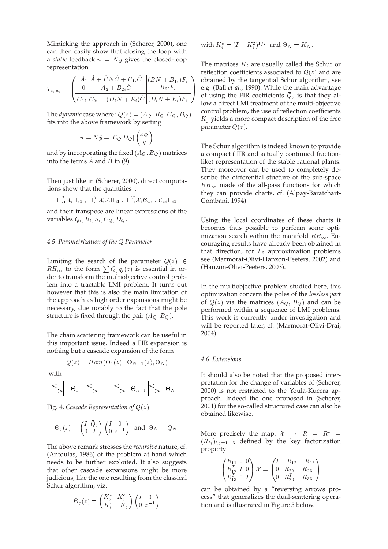Mimicking the approach in (Scherer, 2000), one can then easily show that closing the loop with a *static* feedback  $u = Ny$  gives the closed-loop representation

$$
T_{z_i w_i} = \begin{pmatrix} A_1 \ \hat{A} + \hat{B} N \hat{C} + B_{1i} \hat{C} & (\hat{B} N + B_{1i}) F_i \\ 0 & A_2 + B_{2i} \hat{C} & B_{2i} F_i \\ \hline C_{1i} \ C_{2i} + (D_i N + E_i) \hat{C} & (D_i N + E_i) F_i \end{pmatrix}
$$

The *dynamic* case where :  $Q(z) = (A_{Q}, B_{Q}, C_{Q}, D_{Q})$ fits into the above framework by setting :

$$
u = N\tilde{y} = [C_Q D_Q] \begin{pmatrix} x_Q \\ y \end{pmatrix}
$$

and by incorporating the fixed  $(A_Q, B_Q)$  matrices into the terms  $A$  and  $B$  in (9).

Then just like in (Scherer, 2000), direct computations show that the quantities :

$$
\Pi_{i1}^T\mathcal{X}_i\Pi_{i1} \;,\; \Pi_{i1}^T\mathcal{X}_i\mathcal{A}\Pi_{i1} \;,\; \Pi_{i1}^T\mathcal{X}_i\mathcal{B}_{wi} \;,\; \mathcal{C}_{zi}\Pi_{i1}
$$

and their transpose are linear expressions of the variables  $Q_i$ ,  $R_i$ ,  $S_i$ ,  $C_Q$ ,  $D_Q$ .

#### *4.5 Parametrization of the Q Parameter*

Limiting the search of the parameter  $Q(z) \in$  $RH_{\infty}$  to the form  $\sum \bar{Q}_jq_j(z)$  is essential in order to transform the multiobjective control problem into a tractable LMI problem. It turns out however that this is also the main limitation of the approach as high order expansions might be necessary, due notably to the fact that the pole structure is fixed through the pair  $(A_Q, B_Q)$ .

The chain scattering framework can be useful in this important issue. Indeed a FIR expansion is nothing but a cascade expansion of the form

$$
Q(z) = Hom(\Theta_1(z)... \Theta_{N-1}(z), \Theta_N)
$$

with

$$
\leftarrow \qquad \Theta_1 \qquad \qquad \Longleftrightarrow \qquad \Theta_{N-1} \qquad \Longleftrightarrow \qquad \Theta_N
$$

Fig. 4. *Cascade Representation of* Q(z)

$$
\Theta_j(z) = \begin{pmatrix} I & \bar{Q}_j \\ 0 & I \end{pmatrix} \begin{pmatrix} I & 0 \\ 0 & z^{-1} \end{pmatrix} \text{ and } \Theta_N = Q_N.
$$

The above remark stresses the *recursive* nature, cf. (Antoulas, 1986) of the problem at hand which needs to be further exploited. It also suggests that other cascade expansions might be more judicious, like the one resulting from the classical Schur algorithm, viz.

$$
\Theta_j(z) = \begin{pmatrix} K_j^* & K_j^c \\ K_j^c & -K_j \end{pmatrix} \begin{pmatrix} I & 0 \\ 0 & z^{-1} \end{pmatrix}
$$

with 
$$
K_j^c = (I - K_j^2)^{1/2}
$$
 and  $\Theta_N = K_N$ .

The matrices  $K_j$  are usually called the Schur or reflection coefficients associated to  $Q(z)$  and are obtained by the tangential Schur algorithm, see e.g. (Ball *et al.*, 1990). While the main advantage of using the FIR coefficients  $Q_j$  is that they allow a direct LMI treatment of the multi-objective control problem, the use of reflection coefficients  $K_i$  yields a more compact description of the free parameter  $Q(z)$ .

The Schur algorithm is indeed known to provide a compact ( IIR and actually continued fractionlike) representation of the stable rational plants. They moreover can be used to completely describe the differential stucture of the sub-space  $RH_{\infty}$  made of the all-pass functions for which they can provide charts, cf. (Alpay-Baratchart-Gombani, 1994).

Using the local coordinates of these charts it becomes thus possible to perform some optimization search within the manifold  $RH_{\infty}$ . Encouraging results have already been obtained in that direction, for  $L_2$  approximation problems see (Marmorat-Olivi-Hanzon-Peeters, 2002) and (Hanzon-Olivi-Peeters, 2003).

In the multiobjective problem studied here, this optimization concern the poles of the *lossless part* of  $Q(z)$  via the matrices  $(A_Q, B_Q)$  and can be performed within a sequence of LMI problems. This work is currently under investigation and will be reported later, cf. (Marmorat-Olivi-Drai, 2004).

#### *4.6 Extensions*

It should also be noted that the proposed interpretation for the change of variables of (Scherer, 2000) is not restricted to the Youla-Kucera approach. Indeed the one proposed in (Scherer, 2001) for the so-called structured case can also be obtained likewise.

More precisely the map:  $\mathcal{X} \rightarrow R = R^t =$  $(R_{ij})_{i,j=1...3}$  defined by the key factorization property

$$
\begin{pmatrix}\nR_{11} & 0 & 0 \\
R_{12}^T & I & 0 \\
R_{13}^T & 0 & I\n\end{pmatrix}\n\mathcal{X} = \begin{pmatrix}\nI & -R_{12} & -R_{13} \\
0 & R_{22} & R_{23} \\
0 & R_{23}^T & R_{33}\n\end{pmatrix}
$$

can be obtained by a "reversing arrows process" that generalizes the dual-scattering operation and is illustrated in Figure 5 below.